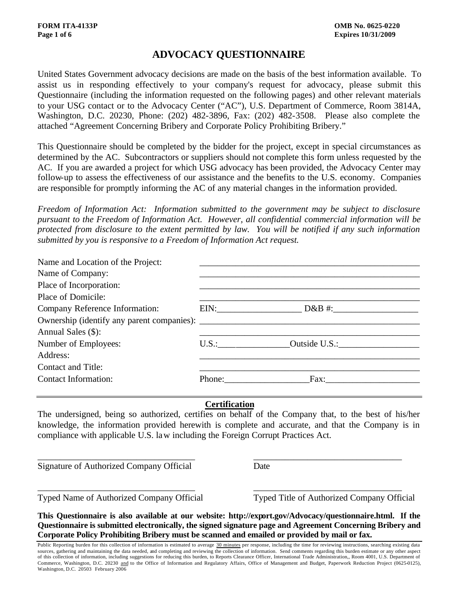## **ADVOCACY QUESTIONNAIRE**

United States Government advocacy decisions are made on the basis of the best information available. To assist us in responding effectively to your company's request for advocacy, please submit this Questionnaire (including the information requested on the following pages) and other relevant materials to your USG contact or to the Advocacy Center ("AC"), U.S. Department of Commerce, Room 3814A, Washington, D.C. 20230, Phone: (202) 482-3896, Fax: (202) 482-3508. Please also complete the attached "Agreement Concerning Bribery and Corporate Policy Prohibiting Bribery."

This Questionnaire should be completed by the bidder for the project, except in special circumstances as determined by the AC. Subcontractors or suppliers should not complete this form unless requested by the AC. If you are awarded a project for which USG advocacy has been provided, the Advocacy Center may follow-up to assess the effectiveness of our assistance and the benefits to the U.S. economy. Companies are responsible for promptly informing the AC of any material changes in the information provided.

*Freedom of Information Act: Information submitted to the government may be subject to disclosure pursuant to the Freedom of Information Act. However, all confidential commercial information will be protected from disclosure to the extent permitted by law. You will be notified if any such information submitted by you is responsive to a Freedom of Information Act request.*

| Name and Location of the Project: |        |                     |
|-----------------------------------|--------|---------------------|
| Name of Company:                  |        |                     |
| Place of Incorporation:           |        |                     |
| Place of Domicile:                |        |                     |
| Company Reference Information:    |        | $EIN:$ D&B #:       |
|                                   |        |                     |
| Annual Sales (\$):                |        |                     |
| Number of Employees:              |        | U.S.: Outside U.S.: |
| Address:                          |        |                     |
| <b>Contact and Title:</b>         |        |                     |
| <b>Contact Information:</b>       | Phone: | $\Gamma$ ax:        |

#### **Certification**

The undersigned, being so authorized, certifies on behalf of the Company that, to the best of his/her knowledge, the information provided herewith is complete and accurate, and that the Company is in compliance with applicable U.S. law including the Foreign Corrupt Practices Act.

\_\_\_\_\_\_\_\_\_\_\_\_\_\_\_\_\_\_\_\_\_\_\_\_\_\_\_\_\_\_\_\_\_\_\_ \_\_\_\_\_\_\_\_\_\_\_\_\_\_\_\_\_\_\_\_\_\_\_\_\_\_\_\_\_\_\_\_\_

\_\_\_\_\_\_\_\_\_\_\_\_\_\_\_\_\_\_\_\_\_\_\_\_\_\_\_\_\_\_\_\_\_\_\_ \_\_\_\_\_\_\_\_\_\_\_\_\_\_\_\_\_\_\_\_\_\_\_\_\_\_\_\_\_\_\_\_\_

Signature of Authorized Company Official Date

Typed Name of Authorized Company Official Typed Title of Authorized Company Official

**This Questionnaire is also available at our website: http://export.gov/Advocacy/questionnaire.html. If the Questionnaire is submitted electronically, the signed signature page and Agreement Concerning Bribery and Corporate Policy Prohibiting Bribery must be scanned and emailed or provided by mail or fax.**

Public Reporting burden for this collection of information is estimated to average 30 minutes per response, including the time for reviewing instructions, searching existing data sources, gathering and maintaining the data needed, and completing and reviewing the collection of information. Send comments regarding this burden estimate or any other aspect of this collection of information, including suggestions for reducing this burden, to Reports Clearance Officer, International Trade Administration,, Room 4001, U.S. Department of Commerce, Washington, D.C. 20230 and to the Office of Information and Regulatory Affairs, Office of Management and Budget, Paperwork Reduction Project (0625-0125), Washington, D.C. 20503 February 2006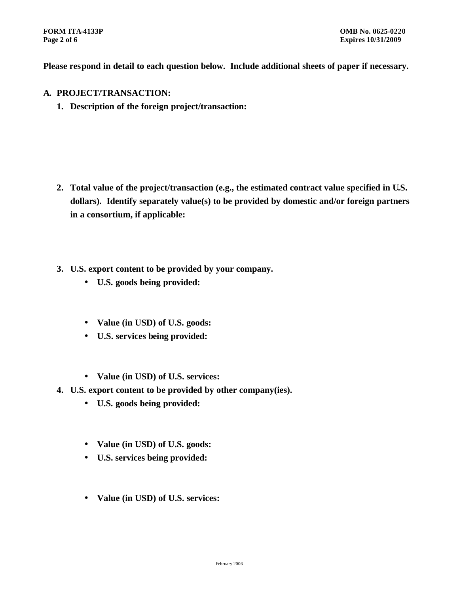**Please respond in detail to each question below. Include additional sheets of paper if necessary.**

- **A. PROJECT/TRANSACTION:**
	- **1. Description of the foreign project/transaction:**

- **2. Total value of the project/transaction (e.g., the estimated contract value specified in U.S. dollars). Identify separately value(s) to be provided by domestic and/or foreign partners in a consortium, if applicable:**
- **3. U.S. export content to be provided by your company.**
	- **U.S. goods being provided:**
	- **Value (in USD) of U.S. goods:**
	- **U.S. services being provided:**
	- **Value (in USD) of U.S. services:**
- **4. U.S. export content to be provided by other company(ies).**
	- **U.S. goods being provided:**
	- **Value (in USD) of U.S. goods:**
	- **U.S. services being provided:**
	- **Value (in USD) of U.S. services:**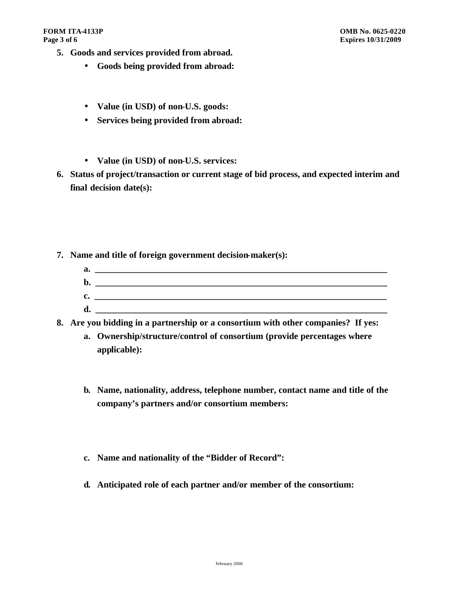- **5. Goods and services provided from abroad.**
	- **Goods being provided from abroad:**
	- **Value (in USD) of non-U.S. goods:**
	- **Services being provided from abroad:**
	- **Value (in USD) of non-U.S. services:**
- **6. Status of project/transaction or current stage of bid process, and expected interim and final decision date(s):**
- **7. Name and title of foreign government decision-maker(s):**

| a. |  |
|----|--|
| b. |  |
| c. |  |
| d  |  |

**8. Are you bidding in a partnership or a consortium with other companies? If yes:**

- **a. Ownership/structure/control of consortium (provide percentages where applicable):**
- **b. Name, nationality, address, telephone number, contact name and title of the company's partners and/or consortium members:**
- **c. Name and nationality of the "Bidder of Record":**
- **d. Anticipated role of each partner and/or member of the consortium:**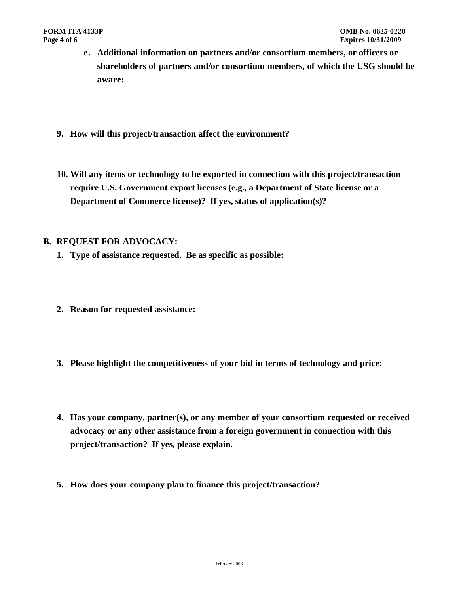- **e. Additional information on partners and/or consortium members, or officers or shareholders of partners and/or consortium members, of which the USG should be aware:**
- **9. How will this project/transaction affect the environment?**
- **10. Will any items or technology to be exported in connection with this project/transaction require U.S. Government export licenses (e.g., a Department of State license or a Department of Commerce license)? If yes, status of application(s)?**

#### **B. REQUEST FOR ADVOCACY:**

- **1. Type of assistance requested. Be as specific as possible:**
- **2. Reason for requested assistance:**
- **3. Please highlight the competitiveness of your bid in terms of technology and price:**
- **4. Has your company, partner(s), or any member of your consortium requested or received advocacy or any other assistance from a foreign government in connection with this project/transaction? If yes, please explain.**
- **5. How does your company plan to finance this project/transaction?**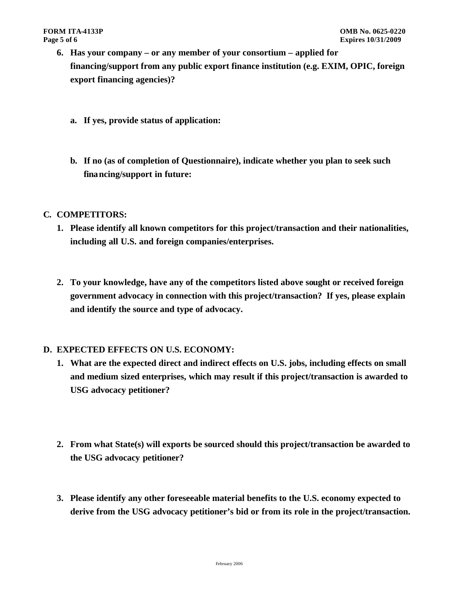- **6. Has your company or any member of your consortium applied for financing/support from any public export finance institution (e.g. EXIM, OPIC, foreign export financing agencies)?** 
	- **a. If yes, provide status of application:**
	- **b. If no (as of completion of Questionnaire), indicate whether you plan to seek such financing/support in future:**

#### **C. COMPETITORS:**

- **1. Please identify all known competitors for this project/transaction and their nationalities, including all U.S. and foreign companies/enterprises.**
- **2. To your knowledge, have any of the competitors listed above sought or received foreign government advocacy in connection with this project/transaction? If yes, please explain and identify the source and type of advocacy.**

#### **D. EXPECTED EFFECTS ON U.S. ECONOMY:**

- **1. What are the expected direct and indirect effects on U.S. jobs, including effects on small and medium sized enterprises, which may result if this project/transaction is awarded to USG advocacy petitioner?**
- **2. From what State(s) will exports be sourced should this project/transaction be awarded to the USG advocacy petitioner?**
- **3. Please identify any other foreseeable material benefits to the U.S. economy expected to derive from the USG advocacy petitioner's bid or from its role in the project/transaction.**